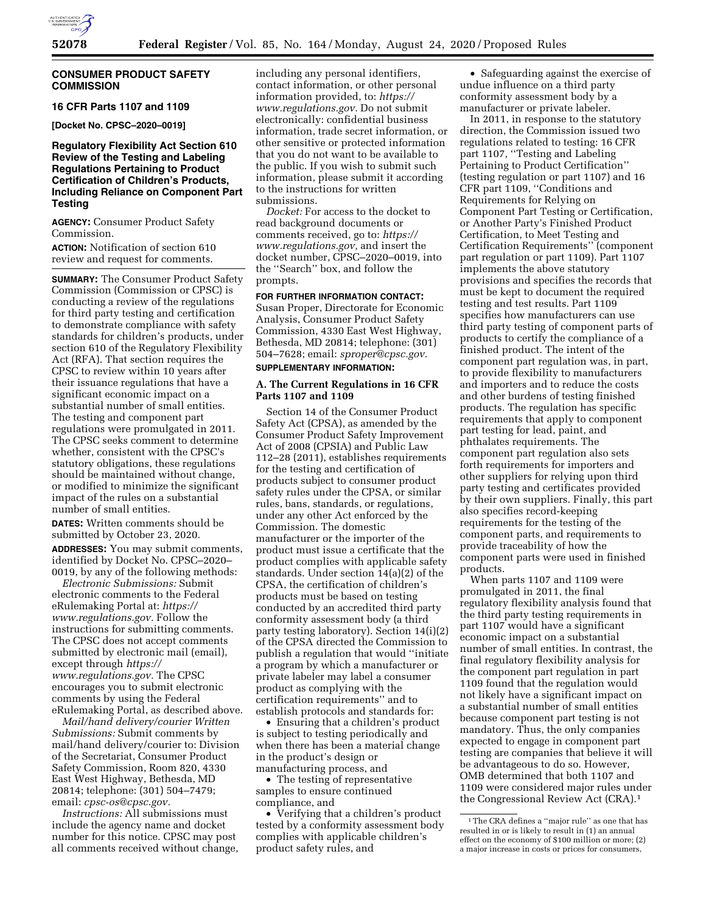

# **CONSUMER PRODUCT SAFETY COMMISSION**

# **16 CFR Parts 1107 and 1109**

**[Docket No. CPSC–2020–0019]** 

# **Regulatory Flexibility Act Section 610 Review of the Testing and Labeling Regulations Pertaining to Product Certification of Children's Products, Including Reliance on Component Part Testing**

**AGENCY:** Consumer Product Safety Commission.

**ACTION:** Notification of section 610 review and request for comments.

**SUMMARY:** The Consumer Product Safety Commission (Commission or CPSC) is conducting a review of the regulations for third party testing and certification to demonstrate compliance with safety standards for children's products, under section 610 of the Regulatory Flexibility Act (RFA). That section requires the CPSC to review within 10 years after their issuance regulations that have a significant economic impact on a substantial number of small entities. The testing and component part regulations were promulgated in 2011. The CPSC seeks comment to determine whether, consistent with the CPSC's statutory obligations, these regulations should be maintained without change, or modified to minimize the significant impact of the rules on a substantial number of small entities.

**DATES:** Written comments should be submitted by October 23, 2020. **ADDRESSES:** You may submit comments, identified by Docket No. CPSC–2020– 0019, by any of the following methods:

*Electronic Submissions:* Submit electronic comments to the Federal eRulemaking Portal at: *[https://](https://www.regulations.gov) [www.regulations.gov.](https://www.regulations.gov)* Follow the instructions for submitting comments. The CPSC does not accept comments submitted by electronic mail (email), except through *[https://](https://www.regulations.gov) [www.regulations.gov.](https://www.regulations.gov)* The CPSC encourages you to submit electronic comments by using the Federal eRulemaking Portal, as described above.

*Mail/hand delivery/courier Written Submissions:* Submit comments by mail/hand delivery/courier to: Division of the Secretariat, Consumer Product Safety Commission, Room 820, 4330 East West Highway, Bethesda, MD 20814; telephone: (301) 504–7479; email: *[cpsc-os@cpsc.gov.](mailto:cpsc-os@cpsc.gov)* 

*Instructions:* All submissions must include the agency name and docket number for this notice. CPSC may post all comments received without change,

including any personal identifiers, contact information, or other personal information provided, to: *[https://](https://www.regulations.gov) [www.regulations.gov.](https://www.regulations.gov)* Do not submit electronically: confidential business information, trade secret information, or other sensitive or protected information that you do not want to be available to the public. If you wish to submit such information, please submit it according to the instructions for written submissions.

*Docket:* For access to the docket to read background documents or comments received, go to: *[https://](https://www.regulations.gov) [www.regulations.gov,](https://www.regulations.gov)* and insert the docket number, CPSC–2020–0019, into the ''Search'' box, and follow the prompts.

**FOR FURTHER INFORMATION CONTACT:**  Susan Proper, Directorate for Economic Analysis, Consumer Product Safety Commission, 4330 East West Highway, Bethesda, MD 20814; telephone: (301) 504–7628; email: *[sproper@cpsc.gov.](mailto:sproper@cpsc.gov)* 

# **SUPPLEMENTARY INFORMATION:**

## **A. The Current Regulations in 16 CFR Parts 1107 and 1109**

Section 14 of the Consumer Product Safety Act (CPSA), as amended by the Consumer Product Safety Improvement Act of 2008 (CPSIA) and Public Law 112–28 (2011), establishes requirements for the testing and certification of products subject to consumer product safety rules under the CPSA, or similar rules, bans, standards, or regulations, under any other Act enforced by the Commission. The domestic manufacturer or the importer of the product must issue a certificate that the product complies with applicable safety standards. Under section 14(a)(2) of the CPSA, the certification of children's products must be based on testing conducted by an accredited third party conformity assessment body (a third party testing laboratory). Section 14(i)(2) of the CPSA directed the Commission to publish a regulation that would ''initiate a program by which a manufacturer or private labeler may label a consumer product as complying with the certification requirements'' and to establish protocols and standards for:

• Ensuring that a children's product is subject to testing periodically and when there has been a material change in the product's design or manufacturing process, and

• The testing of representative samples to ensure continued compliance, and

• Verifying that a children's product tested by a conformity assessment body complies with applicable children's product safety rules, and

• Safeguarding against the exercise of undue influence on a third party conformity assessment body by a manufacturer or private labeler.

In 2011, in response to the statutory direction, the Commission issued two regulations related to testing: 16 CFR part 1107, ''Testing and Labeling Pertaining to Product Certification'' (testing regulation or part 1107) and 16 CFR part 1109, ''Conditions and Requirements for Relying on Component Part Testing or Certification, or Another Party's Finished Product Certification, to Meet Testing and Certification Requirements'' (component part regulation or part 1109). Part 1107 implements the above statutory provisions and specifies the records that must be kept to document the required testing and test results. Part 1109 specifies how manufacturers can use third party testing of component parts of products to certify the compliance of a finished product. The intent of the component part regulation was, in part, to provide flexibility to manufacturers and importers and to reduce the costs and other burdens of testing finished products. The regulation has specific requirements that apply to component part testing for lead, paint, and phthalates requirements. The component part regulation also sets forth requirements for importers and other suppliers for relying upon third party testing and certificates provided by their own suppliers. Finally, this part also specifies record-keeping requirements for the testing of the component parts, and requirements to provide traceability of how the component parts were used in finished products.

When parts 1107 and 1109 were promulgated in 2011, the final regulatory flexibility analysis found that the third party testing requirements in part 1107 would have a significant economic impact on a substantial number of small entities. In contrast, the final regulatory flexibility analysis for the component part regulation in part 1109 found that the regulation would not likely have a significant impact on a substantial number of small entities because component part testing is not mandatory. Thus, the only companies expected to engage in component part testing are companies that believe it will be advantageous to do so. However, OMB determined that both 1107 and 1109 were considered major rules under the Congressional Review Act (CRA).1

<sup>1</sup>The CRA defines a ''major rule'' as one that has resulted in or is likely to result in (1) an annual effect on the economy of \$100 million or more; (2) a major increase in costs or prices for consumers,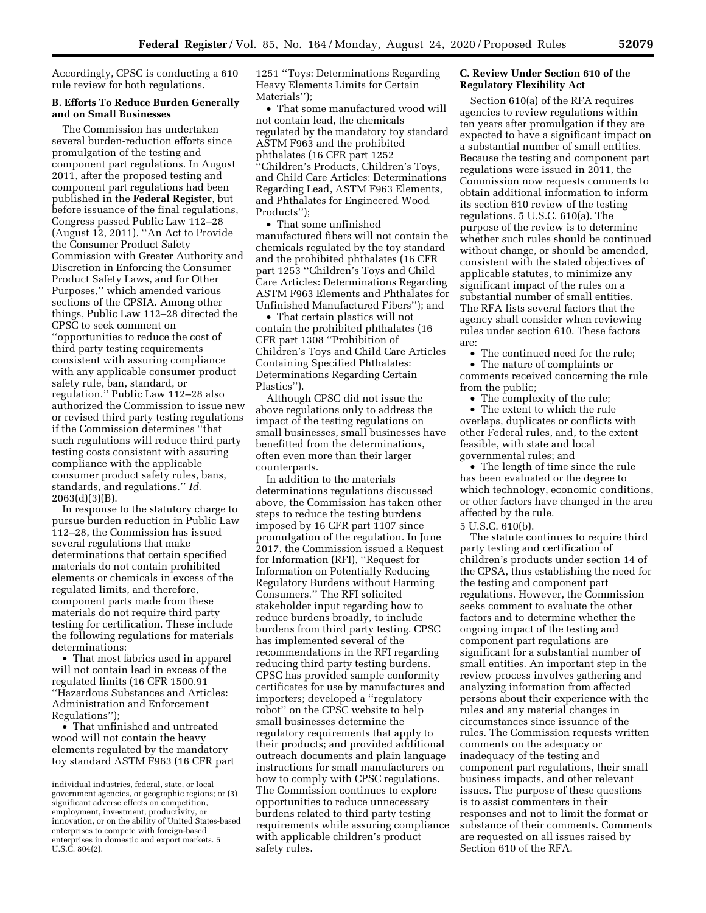Accordingly, CPSC is conducting a 610 rule review for both regulations.

# **B. Efforts To Reduce Burden Generally and on Small Businesses**

The Commission has undertaken several burden-reduction efforts since promulgation of the testing and component part regulations. In August 2011, after the proposed testing and component part regulations had been published in the **Federal Register***,* but before issuance of the final regulations, Congress passed Public Law 112–28 (August 12, 2011), ''An Act to Provide the Consumer Product Safety Commission with Greater Authority and Discretion in Enforcing the Consumer Product Safety Laws, and for Other Purposes,'' which amended various sections of the CPSIA. Among other things, Public Law 112–28 directed the CPSC to seek comment on ''opportunities to reduce the cost of third party testing requirements consistent with assuring compliance with any applicable consumer product safety rule, ban, standard, or regulation.'' Public Law 112–28 also authorized the Commission to issue new or revised third party testing regulations if the Commission determines ''that such regulations will reduce third party testing costs consistent with assuring compliance with the applicable consumer product safety rules, bans, standards, and regulations.'' *Id.*  2063(d)(3)(B).

In response to the statutory charge to pursue burden reduction in Public Law 112–28, the Commission has issued several regulations that make determinations that certain specified materials do not contain prohibited elements or chemicals in excess of the regulated limits, and therefore, component parts made from these materials do not require third party testing for certification. These include the following regulations for materials determinations:

• That most fabrics used in apparel will not contain lead in excess of the regulated limits (16 CFR 1500.91 ''Hazardous Substances and Articles: Administration and Enforcement Regulations'');

• That unfinished and untreated wood will not contain the heavy elements regulated by the mandatory toy standard ASTM F963 (16 CFR part 1251 ''Toys: Determinations Regarding Heavy Elements Limits for Certain Materials'');

• That some manufactured wood will not contain lead, the chemicals regulated by the mandatory toy standard ASTM F963 and the prohibited phthalates (16 CFR part 1252 ''Children's Products, Children's Toys, and Child Care Articles: Determinations Regarding Lead, ASTM F963 Elements, and Phthalates for Engineered Wood Products'');

• That some unfinished manufactured fibers will not contain the chemicals regulated by the toy standard and the prohibited phthalates (16 CFR part 1253 ''Children's Toys and Child Care Articles: Determinations Regarding ASTM F963 Elements and Phthalates for Unfinished Manufactured Fibers''); and

• That certain plastics will not contain the prohibited phthalates (16 CFR part 1308 ''Prohibition of Children's Toys and Child Care Articles Containing Specified Phthalates: Determinations Regarding Certain Plastics'').

Although CPSC did not issue the above regulations only to address the impact of the testing regulations on small businesses, small businesses have benefitted from the determinations, often even more than their larger counterparts.

In addition to the materials determinations regulations discussed above, the Commission has taken other steps to reduce the testing burdens imposed by 16 CFR part 1107 since promulgation of the regulation. In June 2017, the Commission issued a Request for Information (RFI), ''Request for Information on Potentially Reducing Regulatory Burdens without Harming Consumers.'' The RFI solicited stakeholder input regarding how to reduce burdens broadly, to include burdens from third party testing. CPSC has implemented several of the recommendations in the RFI regarding reducing third party testing burdens. CPSC has provided sample conformity certificates for use by manufactures and importers; developed a ''regulatory robot'' on the CPSC website to help small businesses determine the regulatory requirements that apply to their products; and provided additional outreach documents and plain language instructions for small manufacturers on how to comply with CPSC regulations. The Commission continues to explore opportunities to reduce unnecessary burdens related to third party testing requirements while assuring compliance with applicable children's product safety rules.

## **C. Review Under Section 610 of the Regulatory Flexibility Act**

Section 610(a) of the RFA requires agencies to review regulations within ten years after promulgation if they are expected to have a significant impact on a substantial number of small entities. Because the testing and component part regulations were issued in 2011, the Commission now requests comments to obtain additional information to inform its section 610 review of the testing regulations. 5 U.S.C. 610(a). The purpose of the review is to determine whether such rules should be continued without change, or should be amended, consistent with the stated objectives of applicable statutes, to minimize any significant impact of the rules on a substantial number of small entities. The RFA lists several factors that the agency shall consider when reviewing rules under section 610. These factors are:

• The continued need for the rule;

• The nature of complaints or comments received concerning the rule from the public;

• The complexity of the rule;

• The extent to which the rule overlaps, duplicates or conflicts with other Federal rules, and, to the extent feasible, with state and local governmental rules; and

• The length of time since the rule has been evaluated or the degree to which technology, economic conditions, or other factors have changed in the area affected by the rule.

5 U.S.C. 610(b).

The statute continues to require third party testing and certification of children's products under section 14 of the CPSA, thus establishing the need for the testing and component part regulations. However, the Commission seeks comment to evaluate the other factors and to determine whether the ongoing impact of the testing and component part regulations are significant for a substantial number of small entities. An important step in the review process involves gathering and analyzing information from affected persons about their experience with the rules and any material changes in circumstances since issuance of the rules. The Commission requests written comments on the adequacy or inadequacy of the testing and component part regulations, their small business impacts, and other relevant issues. The purpose of these questions is to assist commenters in their responses and not to limit the format or substance of their comments. Comments are requested on all issues raised by Section 610 of the RFA.

individual industries, federal, state, or local government agencies, or geographic regions; or (3) significant adverse effects on competition, employment, investment, productivity, or innovation, or on the ability of United States-based enterprises to compete with foreign-based enterprises in domestic and export markets. 5 U.S.C. 804(2).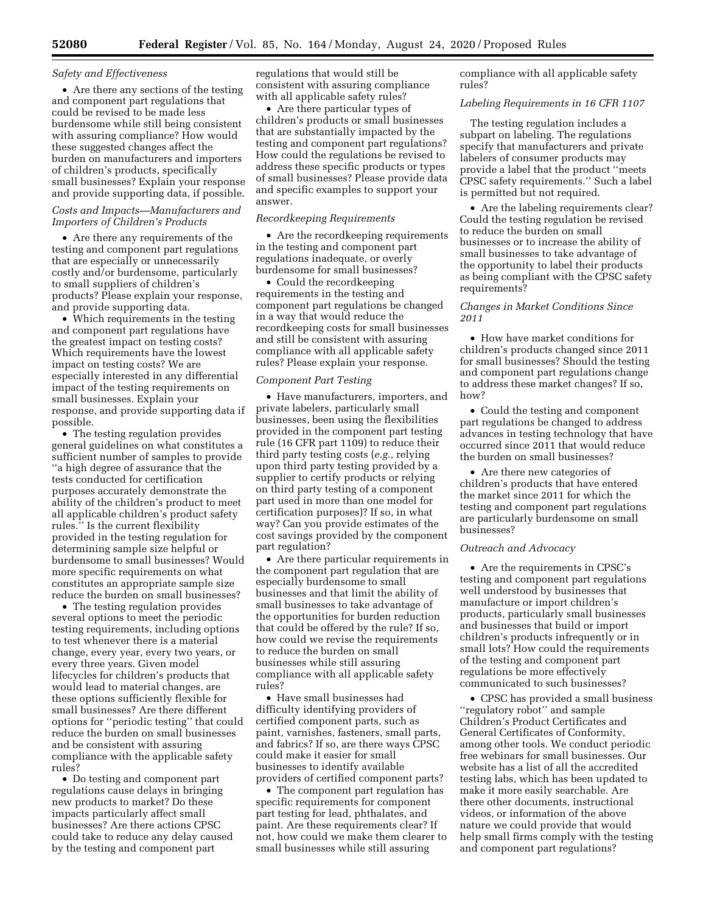#### *Safety and Effectiveness*

• Are there any sections of the testing and component part regulations that could be revised to be made less burdensome while still being consistent with assuring compliance? How would these suggested changes affect the burden on manufacturers and importers of children's products, specifically small businesses? Explain your response and provide supporting data, if possible.

## *Costs and Impacts—Manufacturers and Importers of Children's Products*

• Are there any requirements of the testing and component part regulations that are especially or unnecessarily costly and/or burdensome, particularly to small suppliers of children's products? Please explain your response, and provide supporting data.

• Which requirements in the testing and component part regulations have the greatest impact on testing costs? Which requirements have the lowest impact on testing costs? We are especially interested in any differential impact of the testing requirements on small businesses. Explain your response, and provide supporting data if possible.

• The testing regulation provides general guidelines on what constitutes a sufficient number of samples to provide ''a high degree of assurance that the tests conducted for certification purposes accurately demonstrate the ability of the children's product to meet all applicable children's product safety rules.'' Is the current flexibility provided in the testing regulation for determining sample size helpful or burdensome to small businesses? Would more specific requirements on what constitutes an appropriate sample size reduce the burden on small businesses?

• The testing regulation provides several options to meet the periodic testing requirements, including options to test whenever there is a material change, every year, every two years, or every three years. Given model lifecycles for children's products that would lead to material changes, are these options sufficiently flexible for small businesses? Are there different options for ''periodic testing'' that could reduce the burden on small businesses and be consistent with assuring compliance with the applicable safety rules?

• Do testing and component part regulations cause delays in bringing new products to market? Do these impacts particularly affect small businesses? Are there actions CPSC could take to reduce any delay caused by the testing and component part

regulations that would still be consistent with assuring compliance with all applicable safety rules?

• Are there particular types of children's products or small businesses that are substantially impacted by the testing and component part regulations? How could the regulations be revised to address these specific products or types of small businesses? Please provide data and specific examples to support your answer.

#### *Recordkeeping Requirements*

• Are the recordkeeping requirements in the testing and component part regulations inadequate, or overly burdensome for small businesses?

• Could the record keeping requirements in the testing and component part regulations be changed in a way that would reduce the recordkeeping costs for small businesses and still be consistent with assuring compliance with all applicable safety rules? Please explain your response.

#### *Component Part Testing*

• Have manufacturers, importers, and private labelers, particularly small businesses, been using the flexibilities provided in the component part testing rule (16 CFR part 1109) to reduce their third party testing costs (*e.g.,* relying upon third party testing provided by a supplier to certify products or relying on third party testing of a component part used in more than one model for certification purposes)? If so, in what way? Can you provide estimates of the cost savings provided by the component part regulation?

• Are there particular requirements in the component part regulation that are especially burdensome to small businesses and that limit the ability of small businesses to take advantage of the opportunities for burden reduction that could be offered by the rule? If so, how could we revise the requirements to reduce the burden on small businesses while still assuring compliance with all applicable safety rules?

• Have small businesses had difficulty identifying providers of certified component parts, such as paint, varnishes, fasteners, small parts, and fabrics? If so, are there ways CPSC could make it easier for small businesses to identify available providers of certified component parts?

• The component part regulation has specific requirements for component part testing for lead, phthalates, and paint. Are these requirements clear? If not, how could we make them clearer to small businesses while still assuring

compliance with all applicable safety rules?

#### *Labeling Requirements in 16 CFR 1107*

The testing regulation includes a subpart on labeling. The regulations specify that manufacturers and private labelers of consumer products may provide a label that the product ''meets CPSC safety requirements.'' Such a label is permitted but not required.

• Are the labeling requirements clear? Could the testing regulation be revised to reduce the burden on small businesses or to increase the ability of small businesses to take advantage of the opportunity to label their products as being compliant with the CPSC safety requirements?

#### *Changes in Market Conditions Since 2011*

• How have market conditions for children's products changed since 2011 for small businesses? Should the testing and component part regulations change to address these market changes? If so, how?

• Could the testing and component part regulations be changed to address advances in testing technology that have occurred since 2011 that would reduce the burden on small businesses?

• Are there new categories of children's products that have entered the market since 2011 for which the testing and component part regulations are particularly burdensome on small businesses?

#### *Outreach and Advocacy*

• Are the requirements in CPSC's testing and component part regulations well understood by businesses that manufacture or import children's products, particularly small businesses and businesses that build or import children's products infrequently or in small lots? How could the requirements of the testing and component part regulations be more effectively communicated to such businesses?

• CPSC has provided a small business ''regulatory robot'' and sample Children's Product Certificates and General Certificates of Conformity, among other tools. We conduct periodic free webinars for small businesses. Our website has a list of all the accredited testing labs, which has been updated to make it more easily searchable. Are there other documents, instructional videos, or information of the above nature we could provide that would help small firms comply with the testing and component part regulations?